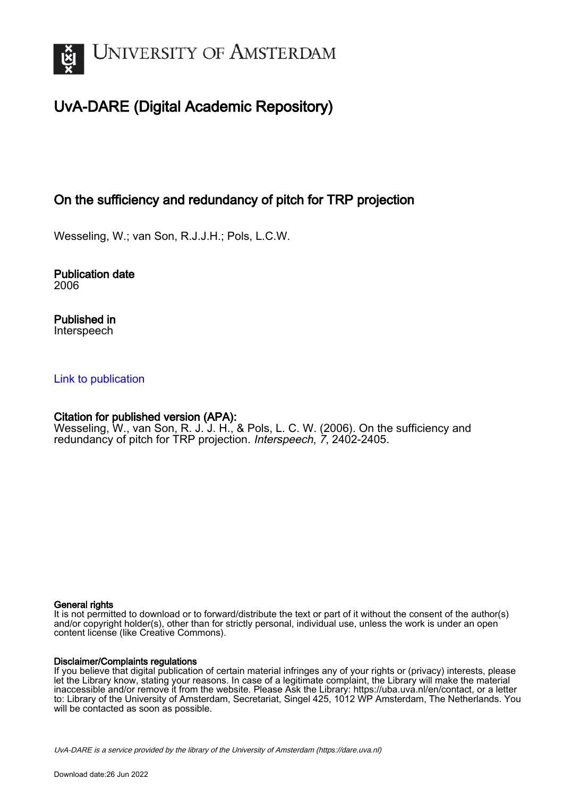

# UvA-DARE (Digital Academic Repository)

# On the sufficiency and redundancy of pitch for TRP projection

Wesseling, W.; van Son, R.J.J.H.; Pols, L.C.W.

Publication date 2006

Published in Interspeech

## [Link to publication](https://dare.uva.nl/personal/pure/en/publications/on-the-sufficiency-and-redundancy-of-pitch-for-trp-projection(2686e3ef-4c47-4e98-b207-52c74da2fd21).html)

## Citation for published version (APA):

Wesseling, W., van Son, R. J. J. H., & Pols, L. C. W. (2006). On the sufficiency and redundancy of pitch for TRP projection. Interspeech, 7, 2402-2405.

### General rights

It is not permitted to download or to forward/distribute the text or part of it without the consent of the author(s) and/or copyright holder(s), other than for strictly personal, individual use, unless the work is under an open content license (like Creative Commons).

### Disclaimer/Complaints regulations

If you believe that digital publication of certain material infringes any of your rights or (privacy) interests, please let the Library know, stating your reasons. In case of a legitimate complaint, the Library will make the material inaccessible and/or remove it from the website. Please Ask the Library: https://uba.uva.nl/en/contact, or a letter to: Library of the University of Amsterdam, Secretariat, Singel 425, 1012 WP Amsterdam, The Netherlands. You will be contacted as soon as possible.

UvA-DARE is a service provided by the library of the University of Amsterdam (http*s*://dare.uva.nl)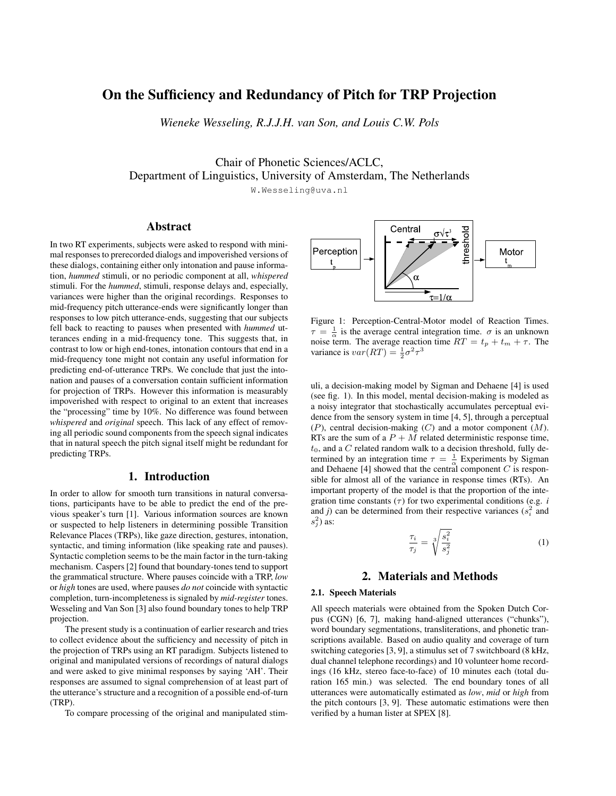## On the Sufficiency and Redundancy of Pitch for TRP Projection

*Wieneke Wesseling, R.J.J.H. van Son, and Louis C.W. Pols*

Chair of Phonetic Sciences/ACLC, Department of Linguistics, University of Amsterdam, The Netherlands

W.Wesseling@uva.nl

### Abstract

In two RT experiments, subjects were asked to respond with minimal responses to prerecorded dialogs and impoverished versions of these dialogs, containing either only intonation and pause information, *hummed* stimuli, or no periodic component at all, *whispered* stimuli. For the *hummed*, stimuli, response delays and, especially, variances were higher than the original recordings. Responses to mid-frequency pitch utterance-ends were significantly longer than responses to low pitch utterance-ends, suggesting that our subjects fell back to reacting to pauses when presented with *hummed* utterances ending in a mid-frequency tone. This suggests that, in contrast to low or high end-tones, intonation contours that end in a mid-frequency tone might not contain any useful information for predicting end-of-utterance TRPs. We conclude that just the intonation and pauses of a conversation contain sufficient information for projection of TRPs. However this information is measurably impoverished with respect to original to an extent that increases the "processing" time by 10%. No difference was found between *whispered* and *original* speech. This lack of any effect of removing all periodic sound components from the speech signal indicates that in natural speech the pitch signal itself might be redundant for predicting TRPs.

### 1. Introduction

In order to allow for smooth turn transitions in natural conversations, participants have to be able to predict the end of the previous speaker's turn [1]. Various information sources are known or suspected to help listeners in determining possible Transition Relevance Places (TRPs), like gaze direction, gestures, intonation, syntactic, and timing information (like speaking rate and pauses). Syntactic completion seems to be the main factor in the turn-taking mechanism. Caspers [2] found that boundary-tones tend to support the grammatical structure. Where pauses coincide with a TRP, *low* or *high* tones are used, where pauses *do not* coincide with syntactic completion, turn-incompleteness is signaled by *mid-register* tones. Wesseling and Van Son [3] also found boundary tones to help TRP projection.

The present study is a continuation of earlier research and tries to collect evidence about the sufficiency and necessity of pitch in the projection of TRPs using an RT paradigm. Subjects listened to original and manipulated versions of recordings of natural dialogs and were asked to give minimal responses by saying 'AH'. Their responses are assumed to signal comprehension of at least part of the utterance's structure and a recognition of a possible end-of-turn (TRP).

To compare processing of the original and manipulated stim-



Figure 1: Perception-Central-Motor model of Reaction Times.  $\tau = \frac{1}{\alpha}$  is the average central integration time.  $\sigma$  is an unknown noise term. The average reaction time  $RT = t_p + t_m + \tau$ . The variance is  $var(RT) = \frac{1}{2}\sigma^2 \tau^3$ 

uli, a decision-making model by Sigman and Dehaene [4] is used (see fig. 1). In this model, mental decision-making is modeled as a noisy integrator that stochastically accumulates perceptual evidence from the sensory system in time [4, 5], through a perceptual  $(P)$ , central decision-making  $(C)$  and a motor component  $(M)$ . RTs are the sum of a  $P + M$  related deterministic response time,  $t_0$ , and a C related random walk to a decision threshold, fully determined by an integration time  $\tau = \frac{1}{\alpha}$  Experiments by Sigman and Dehaene [4] showed that the central component  $C$  is responsible for almost all of the variance in response times (RTs). An important property of the model is that the proportion of the integration time constants  $(\tau)$  for two experimental conditions (e.g. *i* and *j*) can be determined from their respective variances  $(s_i^2$  and  $s_j^2$ ) as:

$$
\frac{\tau_i}{\tau_j} = \sqrt[3]{\frac{s_i^2}{s_j^2}}\tag{1}
$$

#### 2. Materials and Methods

#### 2.1. Speech Materials

All speech materials were obtained from the Spoken Dutch Corpus (CGN) [6, 7], making hand-aligned utterances ("chunks"), word boundary segmentations, transliterations, and phonetic transcriptions available. Based on audio quality and coverage of turn switching categories [3, 9], a stimulus set of 7 switchboard (8 kHz, dual channel telephone recordings) and 10 volunteer home recordings (16 kHz, stereo face-to-face) of 10 minutes each (total duration 165 min.) was selected. The end boundary tones of all utterances were automatically estimated as *low*, *mid* or *high* from the pitch contours [3, 9]. These automatic estimations were then verified by a human lister at SPEX [8].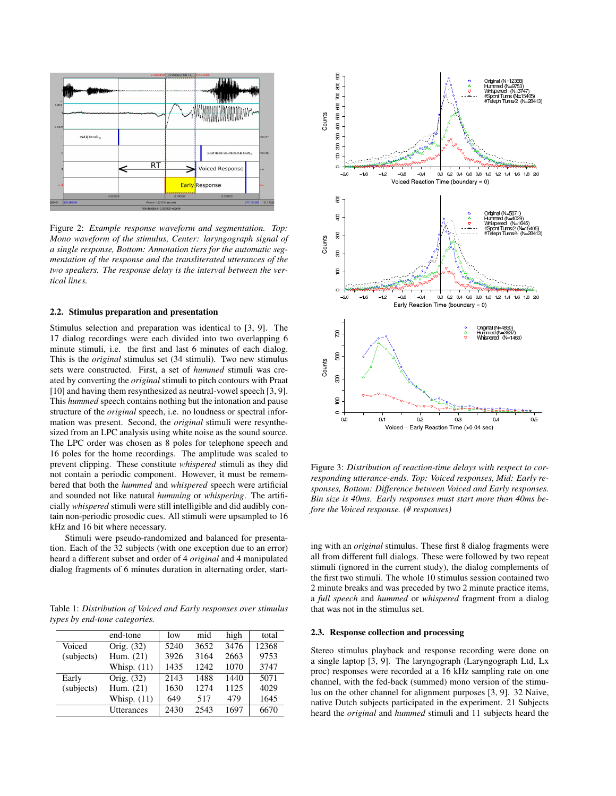

Figure 2: *Example response waveform and segmentation. Top: Mono waveform of the stimulus, Center: laryngograph signal of a single response, Bottom: Annotation tiers for the automatic segmentation of the response and the transliterated utterances of the two speakers. The response delay is the interval between the vertical lines.*

#### 2.2. Stimulus preparation and presentation

Stimulus selection and preparation was identical to [3, 9]. The 17 dialog recordings were each divided into two overlapping 6 minute stimuli, i.e. the first and last 6 minutes of each dialog. This is the *original* stimulus set (34 stimuli). Two new stimulus sets were constructed. First, a set of *hummed* stimuli was created by converting the *original* stimuli to pitch contours with Praat [10] and having them resynthesized as neutral-vowel speech [3, 9]. This *hummed* speech contains nothing but the intonation and pause structure of the *original* speech, i.e. no loudness or spectral information was present. Second, the *original* stimuli were resynthesized from an LPC analysis using white noise as the sound source. The LPC order was chosen as 8 poles for telephone speech and 16 poles for the home recordings. The amplitude was scaled to prevent clipping. These constitute *whispered* stimuli as they did not contain a periodic component. However, it must be remembered that both the *hummed* and *whispered* speech were artificial and sounded not like natural *humming* or *whispering*. The artificially *whispered* stimuli were still intelligible and did audibly contain non-periodic prosodic cues. All stimuli were upsampled to 16 kHz and 16 bit where necessary.

Stimuli were pseudo-randomized and balanced for presentation. Each of the 32 subjects (with one exception due to an error) heard a different subset and order of 4 *original* and 4 manipulated dialog fragments of 6 minutes duration in alternating order, start-

Table 1: *Distribution of Voiced and Early responses over stimulus types by end-tone categories.*

|            | end-tone          | low  | mid  | high | total |
|------------|-------------------|------|------|------|-------|
| Voiced     | Orig. (32)        | 5240 | 3652 | 3476 | 12368 |
| (subjects) | Hum. $(21)$       | 3926 | 3164 | 2663 | 9753  |
|            | Whisp. $(11)$     | 1435 | 1242 | 1070 | 3747  |
| Early      | Orig. (32)        | 2143 | 1488 | 1440 | 5071  |
| (subjects) | Hum. $(21)$       | 1630 | 1274 | 1125 | 4029  |
|            | Whisp. $(11)$     | 649  | 517  | 479  | 1645  |
|            | <b>Utterances</b> | 2430 | 2543 | 1697 | 6670  |



Figure 3: *Distribution of reaction-time delays with respect to corresponding utterance-ends. Top: Voiced responses, Mid: Early responses, Bottom: Difference between Voiced and Early responses. Bin size is 40ms. Early responses must start more than 40ms before the Voiced response. (# responses)*

ing with an *original* stimulus. These first 8 dialog fragments were all from different full dialogs. These were followed by two repeat stimuli (ignored in the current study), the dialog complements of the first two stimuli. The whole 10 stimulus session contained two 2 minute breaks and was preceded by two 2 minute practice items, a *full speech* and *hummed* or *whispered* fragment from a dialog that was not in the stimulus set.

#### 2.3. Response collection and processing

Stereo stimulus playback and response recording were done on a single laptop [3, 9]. The laryngograph (Laryngograph Ltd, Lx proc) responses were recorded at a 16 kHz sampling rate on one channel, with the fed-back (summed) mono version of the stimulus on the other channel for alignment purposes [3, 9]. 32 Naive, native Dutch subjects participated in the experiment. 21 Subjects heard the *original* and *hummed* stimuli and 11 subjects heard the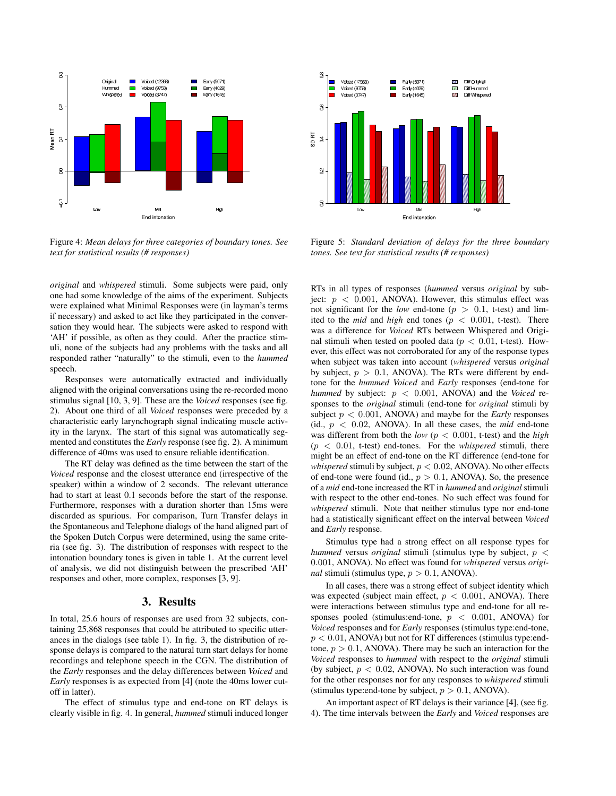

Figure 4: *Mean delays for three categories of boundary tones. See text for statistical results (# responses)*

*original* and *whispered* stimuli. Some subjects were paid, only one had some knowledge of the aims of the experiment. Subjects were explained what Minimal Responses were (in layman's terms if necessary) and asked to act like they participated in the conversation they would hear. The subjects were asked to respond with 'AH' if possible, as often as they could. After the practice stimuli, none of the subjects had any problems with the tasks and all responded rather "naturally" to the stimuli, even to the *hummed* speech.

Responses were automatically extracted and individually aligned with the original conversations using the re-recorded mono stimulus signal [10, 3, 9]. These are the *Voiced* responses (see fig. 2). About one third of all *Voiced* responses were preceded by a characteristic early larynchograph signal indicating muscle activity in the larynx. The start of this signal was automatically segmented and constitutes the *Early* response (see fig. 2). A minimum difference of 40ms was used to ensure reliable identification.

The RT delay was defined as the time between the start of the *Voiced* response and the closest utterance end (irrespective of the speaker) within a window of 2 seconds. The relevant utterance had to start at least 0.1 seconds before the start of the response. Furthermore, responses with a duration shorter than 15ms were discarded as spurious. For comparison, Turn Transfer delays in the Spontaneous and Telephone dialogs of the hand aligned part of the Spoken Dutch Corpus were determined, using the same criteria (see fig. 3). The distribution of responses with respect to the intonation boundary tones is given in table 1. At the current level of analysis, we did not distinguish between the prescribed 'AH' responses and other, more complex, responses [3, 9].

### 3. Results

In total, 25.6 hours of responses are used from 32 subjects, containing 25,868 responses that could be attributed to specific utterances in the dialogs (see table 1). In fig. 3, the distribution of response delays is compared to the natural turn start delays for home recordings and telephone speech in the CGN. The distribution of the *Early* responses and the delay differences between *Voiced* and *Early* responses is as expected from [4] (note the 40ms lower cutoff in latter).

The effect of stimulus type and end-tone on RT delays is clearly visible in fig. 4. In general, *hummed* stimuli induced longer



Figure 5: *Standard deviation of delays for the three boundary tones. See text for statistical results (# responses)*

RTs in all types of responses (*hummed* versus *original* by subject:  $p < 0.001$ , ANOVA). However, this stimulus effect was not significant for the *low* end-tone ( $p > 0.1$ , t-test) and limited to the *mid* and *high* end tones ( $p < 0.001$ , t-test). There was a difference for *Voiced* RTs between Whispered and Original stimuli when tested on pooled data ( $p < 0.01$ , t-test). However, this effect was not corroborated for any of the response types when subject was taken into account (*whispered* versus *original* by subject,  $p > 0.1$ , ANOVA). The RTs were different by endtone for the *hummed Voiced* and *Early* responses (end-tone for *hummed* by subject:  $p < 0.001$ , ANOVA) and the *Voiced* responses to the *original* stimuli (end-tone for *original* stimuli by subject  $p < 0.001$ , ANOVA) and maybe for the *Early* responses (id.,  $p < 0.02$ , ANOVA). In all these cases, the *mid* end-tone was different from both the *low* ( $p < 0.001$ , t-test) and the *high*  $(p < 0.01$ , t-test) end-tones. For the *whispered* stimuli, there might be an effect of end-tone on the RT difference (end-tone for *whispered* stimuli by subject,  $p < 0.02$ , ANOVA). No other effects of end-tone were found (id.,  $p > 0.1$ , ANOVA). So, the presence of a *mid* end-tone increased the RT in *hummed* and *original* stimuli with respect to the other end-tones. No such effect was found for *whispered* stimuli. Note that neither stimulus type nor end-tone had a statistically significant effect on the interval between *Voiced* and *Early* response.

Stimulus type had a strong effect on all response types for *hummed* versus *original* stimuli (stimulus type by subject, p < 0.001, ANOVA). No effect was found for *whispered* versus *original* stimuli (stimulus type,  $p > 0.1$ , ANOVA).

In all cases, there was a strong effect of subject identity which was expected (subject main effect,  $p < 0.001$ , ANOVA). There were interactions between stimulus type and end-tone for all responses pooled (stimulus:end-tone,  $p < 0.001$ , ANOVA) for *Voiced* responses and for *Early* responses (stimulus type:end-tone,  $p < 0.01$ , ANOVA) but not for RT differences (stimulus type:endtone,  $p > 0.1$ , ANOVA). There may be such an interaction for the *Voiced* responses to *hummed* with respect to the *original* stimuli (by subject,  $p < 0.02$ , ANOVA). No such interaction was found for the other responses nor for any responses to *whispered* stimuli (stimulus type:end-tone by subject,  $p > 0.1$ , ANOVA).

An important aspect of RT delays is their variance [4], (see fig. 4). The time intervals between the *Early* and *Voiced* responses are